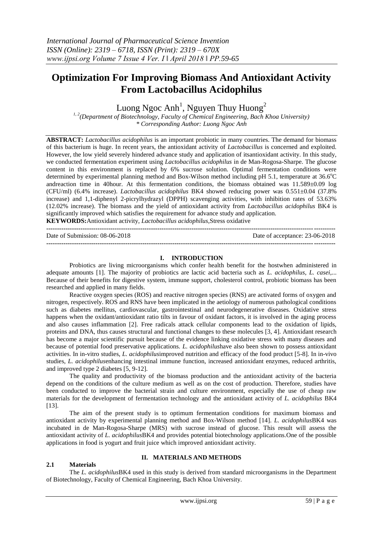# **Optimization For Improving Biomass And Antioxidant Activity From Lactobacillus Acidophilus**

Luong Ngoc Anh<sup>1</sup>, Nguyen Thuy Huong<sup>2</sup>

*1, 2(Department of Biotechnology, Faculty of Chemical Engineering, Bach Khoa University) \* Corresponding Author: Luong Ngoc Anh*

**ABSTRACT:** *Lactobacillus acidophilus* is an important probiotic in many countries. The demand for biomass of this bacterium is huge. In recent years, the antioxidant activity of *Lactobacillus* is concerned and exploited. However, the low yield severely hindered advance study and application of itsantioxidant activity. In this study, we conducted fermentation experiment using *Lactobacillus acidophilus* in de Man-Rogosa-Sharpe. The glucose content in this environment is replaced by 6% sucrose solution. Optimal fermentation conditions were determined by experimental planning method and Box-Wilson method including pH 5.1, temperature at  $36.6^{\circ}$ C andreaction time in 40hour. At this fermentation conditions, the biomass obtained was 11.589±0.09 log (CFU/ml) (6.4% increase). *Lactobacillus acidophilus* BK4 showed reducing power was 0.551±0.04 (37.8% increase) and 1,1-diphenyl 2-picrylhydrazyl (DPPH) scavenging activities, with inhibition rates of 53.63% (12.02% increase). The biomass and the yield of antioxidant activity from *Lactobacillus acidophilus* BK4 is significantly improved which satisfies the requirement for advance study and application. **KEYWORDS:**Antioxidant [activity,](https://www.tandfonline.com/keyword/Antioxidant+Activity) *Lactobacillus acidophilus*,Stress oxidative

**---------------------------------------------------------------------------------------------------------------------------------------** Date of Submission: 08-06-2018 Date of acceptance: 23-06-2018 **---------------------------------------------------------------------------------------------------------------------------------------**

#### **I. INTRODUCTION**

Probiotics are living microorganisms which confer health benefit for the hostwhen administered in adequate amounts [1]. The majority of probiotics are lactic acid bacteria such as *L. acidophilus*, *L. casei*,... Because of their benefits for digestive system, immune support, cholesterol control, probiotic biomass has been researched and applied in many fields.

Reactive oxygen species (ROS) and reactive nitrogen species (RNS) are activated forms of oxygen and nitrogen, respectively. ROS and RNS have been implicated in the aetiology of numerous pathological conditions such as diabetes mellitus, cardiovascular, gastrointestinal and neurodegenerative diseases. Oxidative stress happens when the oxidant/antioxidant ratio tilts in favour of oxidant factors, it is involved in the aging process and also causes inflammation [2]. Free radicals attack cellular components lead to the oxidation of lipids, proteins and DNA, thus causes structural and functional changes to these molecules [3, 4]. Antioxidant research has become a major scientific pursuit because of the evidence linking oxidative stress with many diseases and because of potential food preservative applications. *L. acidophilus*have also been shown to possess antioxidant activities. In in-vitro studies, *L. acidophilus*improved nutrition and efficacy of the food product [5-8]. In in-vivo studies, *L. acidophilus*enhancing intestinal immune function, increased antioxidant enzymes, reduced arthritis, and improved type 2 diabetes [5, 9-12].

The quality and productivity of the biomass production and the antioxidant activity of the bacteria depend on the conditions of the culture medium as well as on the cost of production. Therefore, studies have been conducted to improve the bacterial strain and culture environment, especially the use of cheap raw materials for the development of fermentation technology and the antioxidant activity of *L. acidophilus* BK4 [13].

The aim of the present study is to optimum fermentation conditions for maximum biomass and antioxidant activity by experimental planning method and Box-Wilson method [14]. *L. acidophilus*BK4 was incubated in de Man-Rogosa-Sharpe (MRS) with sucrose instead of glucose. This result will assess the antioxidant activity of *L. acidophilus*BK4 and provides potential biotechnology applications.One of the possible applications in food is yogurt and fruit juice which improved antioxidant activity.

#### **2.1 Materials**

# **II. MATERIALS AND METHODS**

The *L. acidophilus*BK4 used in this study is derived from standard microorganisms in the Department of Biotechnology, Faculty of Chemical Engineering, Bach Khoa University.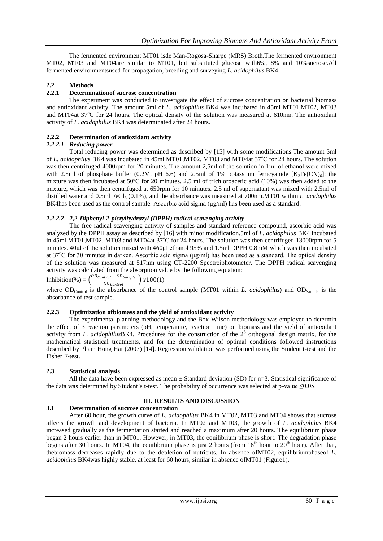The fermented environment MT01 isde Man-Rogosa-Sharpe (MRS) Broth.The fermented environment MT02, MT03 and MT04are similar to MT01, but substituted glucose with6%, 8% and 10%sucrose.All fermented environmentsused for propagation, breeding and surveying *L. acidophilus* BK4.

# **2.2 Methods**

# **2.2.1 Determinationof sucrose concentration**

The experiment was conducted to investigate the effect of sucrose concentration on bacterial biomass and antioxidant activity. The amount 5ml of *L. acidophilus* BK4 was incubated in 45ml MT01,MT02, MT03 and MT04at  $37^{\circ}$ C for 24 hours. The optical density of the solution was measured at 610nm. The antioxidant activity of *L. acidophilus* BK4 was determinated after 24 hours.

# **2.2.2 Determination of antioxidant activity**

# *2.2.2.1 Reducing power*

Total reducing power was determined as described by [15] with some modifications.The amount 5ml of *L. acidophilus* BK4 was incubated in 45ml MT01,MT02, MT03 and MT04at 37<sup>o</sup>C for 24 hours. The solution was then centrifuged 4000rpm for 20 minutes. The amount 2,5ml of the solution in 1ml of ethanol were mixed with 2.5ml of phosphate buffer (0.2M, pH 6.6) and 2.5ml of 1% potassium ferricyanide  $[K_3Fe(CN)_6]$ ; the mixture was then incubated at 50ºC for 20 minutes. 2.5 ml of trichloroacetic acid (10%) was then added to the mixture, which was then centrifuged at 650rpm for 10 minutes. 2.5 ml of supernatant was mixed with 2.5ml of distilled water and 0.5ml FeCl<sub>3</sub> (0.1%), and the absorbance was measured at 700nm.MT01 within *L. acidophilus* BK4has been used as the control sample. Ascorbic acid sigma (μg/ml) has been used as a standard.

# *2.2.2.2 2,2-Diphenyl-2-picrylhydrazyl (DPPH) radical scavenging activity*

The free radical scavenging activity of samples and standard reference compound, ascorbic acid was analyzed by the DPPH assay as described by [16] with minor modification.5ml of *L. acidophilus* BK4 incubated in 45ml MT01,MT02, MT03 and MT04at 37°C for 24 hours. The solution was then centrifuged 13000rpm for 5 minutes. 40μl of the solution mixed with 460μl ethanol 95% and 1.5ml DPPH 0.8mM which was then incubated at 37<sup>o</sup>C for 30 minutes in darken. Ascorbic acid sigma ( $\mu$ g/ml) has been used as a standard. The optical density of the solution was measured at 517nm using CT-2200 Spectroiphotometer. The DPPH radical scavenging activity was calculated from the absorption value by the following equation:

Inhibition(%) =  $\left(\frac{OD_{Control} - OD_{Sample}}{OD}\right) x100(1)$  $\boxed{OD_{Control}}$ 

where OD<sub>Control</sub> is the absorbance of the control sample (MT01 within *L. acidophilus*) and OD<sub>Sample</sub> is the absorbance of test sample.

# **2.2.3 Optimization ofbiomass and the yield of antioxidant activity**

The experimental planning methodology and the Box-Wilson methodology was employed to determin the effect of 3 reaction parameters (pH, temperature, reaction time) on biomass and the yield of antioxidant activity from *L. acidophilus* BK4. Procedures for the construction of the  $2<sup>3</sup>$  orthogonal design matrix, for the mathematical statistical treatments, and for the determination of optimal conditions followed instructions described by Pham Hong Hai (2007) [14]. Regression validation was performed using the Student t-test and the Fisher F-test.

# **2.3 Statistical analysis**

All the data have been expressed as mean  $\pm$  Standard deviation (SD) for n=3. Statistical significance of the data was determined by Student's t-test. The probability of occurrence was selected at p-value  $\leq 0.05$ .

# **III. RESULTS AND DISCUSSION**

# **3.1 Determination of sucrose concentration**

After 60 hour, the growth curve of *L. acidophilus* BK4 in MT02, MT03 and MT04 shows that sucrose affects the growth and development of bacteria. In MT02 and MT03, the growth of *L. acidophilus* BK4 increased gradually as the fermentation started and reached a maximum after 20 hours. The equilibrium phase began 2 hours earlier than in MT01. However, in MT03, the equilibrium phase is short. The degradation phase begins after 30 hours. In MT04, the equilibrium phase is just  $\overline{2}$  hours (from 18<sup>th</sup> hour to 20<sup>th</sup> hour). After that, thebiomass decreases rapidly due to the depletion of nutrients. In absence ofMT02, equilibriumphaseof *L. acidophilus* BK4was highly stable, at least for 60 hours, similar in absence ofMT01 (Figure1).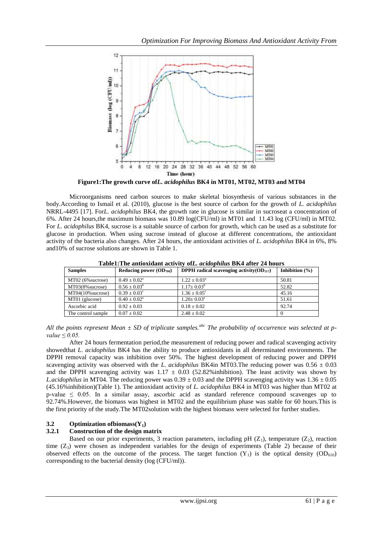

**Figure1:The growth curve of***L. acidophilus* **BK4 in MT01, MT02, MT03 and MT04**

Microorganisms need carbon sources to make skeletal biosynthesis of various substances in the body.According to Ismail et al. (2010), glucose is the best source of carbon for the growth of *L. acidophilus* NRRL-4495 [17]. For*L. acidophilus* BK4, the growth rate in glucose is similar in sucroseat a concentration of 6%. After 24 hours,the maximum biomass was 10.89 log(CFU/ml) in MT01 and 11.43 log (CFU/ml) in MT02. For *L. acidophilus* BK4, sucrose is a suitable source of carbon for growth, which can be used as a substitute for glucose in production. When using sucrose instead of glucose at different concentrations, the antioxidant activity of the bacteria also changes. After 24 hours, the antioxidant activities of *L. acidophilus* BK4 in 6%, 8% and10% of sucrose solutions are shown in Table 1.

| Tabic1,The andoxidant activity only actual physical DIX-T and I 2-Thours |                            |                                                       |                    |  |  |  |  |  |
|--------------------------------------------------------------------------|----------------------------|-------------------------------------------------------|--------------------|--|--|--|--|--|
| <b>Samples</b>                                                           | Reducing power $OD_{700}$  | <b>DPPH</b> radical scavenging activity( $OD_{517}$ ) | Inhibition $(\% )$ |  |  |  |  |  |
| MT02 (6% sucrose)                                                        | $0.49 \pm 0.02^{\text{a}}$ | $1.22 \pm 0.03^{\text{a}}$                            | 50.81              |  |  |  |  |  |
| MT03(8% sucrose)                                                         | $0.56 \pm 0.03^b$          | $1.17 \pm 0.03^b$                                     | 52.82              |  |  |  |  |  |
| $MT04(10\%$ sucrose)                                                     | $0.39 \pm 0.03^{\circ}$    | $1.36 \pm 0.05^{\circ}$                               | 45.16              |  |  |  |  |  |
| $MT01$ (glucose)                                                         | $0.40 \pm 0.02^{\text{a}}$ | $1.20+0.03^a$                                         | 51.61              |  |  |  |  |  |
| Ascorbic acid                                                            | $0.92 + 0.03$              | $0.18 \pm 0.02$                                       | 92.74              |  |  |  |  |  |
| The control sample                                                       | $0.07 \pm 0.02$            | $2.48 \pm 0.02$                                       |                    |  |  |  |  |  |

**Table1:The antioxidant activity of***L. acidophilus* **BK4 after 24 hours**

*All the points represent Mean ± SD of triplicate samples.abc The probability of occurrence was selected at pvalue ≤ 0.05.*

After 24 hours fermentation period,the measurement of reducing power and radical scavenging activity showedthat *L. acidophilus* BK4 has the ability to produce antioxidants in all determinated environments. The DPPH removal capacity was inhibition over 50%. The highest development of reducing power and DPPH scavenging activity was observed with the *L. acidophilus* BK4in MT03. The reducing power was  $0.56 \pm 0.03$ and the DPPH scavenging activity was  $1.17 \pm 0.03$  (52.82%inhibition). The least activity was shown by *L.acidophilus* in MT04. The reducing power was  $0.39 \pm 0.03$  and the DPPH scavenging activity was  $1.36 \pm 0.05$ (45.16%inhibition)(Table 1). The antioxidant activity of *L. acidophilus* BK4 in MT03 was higher than MT02 at p-value ≤ 0.05. In a similar assay, ascorbic acid as standard reference compound scavenges up to 92.74%.However, the biomass was highest in MT02 and the equilibrium phase was stable for 60 hours.This is the first priority of the study.The MT02solution with the highest biomass were selected for further studies.

# **3.2 Optimization of biomass**( $Y_1$ )<br>**3.2.1** Construction of the design m

# **3.2.1 Construction of the design matrix**

Based on our prior experiments, 3 reaction parameters, including pH  $(Z_1)$ , temperature  $(Z_2)$ , reaction time (Z<sub>3</sub>) were chosen as independent variables for the design of experiments (Table 2) because of their observed effects on the outcome of the process. The target function  $(Y_1)$  is the optical density  $OD_{610}$ corresponding to the bacterial density (log (CFU/ml)).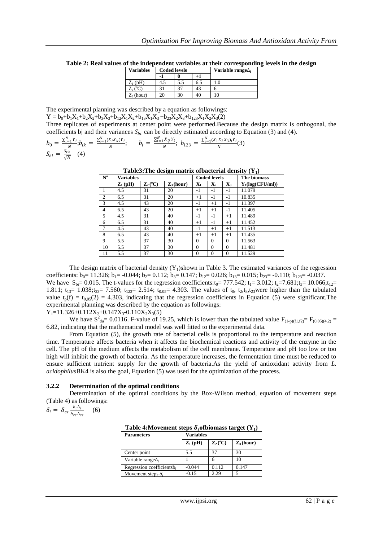| <b>Variables</b> | <b>Coded levels</b> |     |     | Variable range $\Delta_i$ |
|------------------|---------------------|-----|-----|---------------------------|
|                  |                     |     |     |                           |
| $Z_1$ (pH)       |                     | 5.5 | 6.5 |                           |
| $\rm Z_2$ (°     |                     |     | 43  |                           |
| $Z_3$ (hour)     |                     | 30  |     |                           |

**Table 2: Real values of the independent variables at their corresponding levels in the design**

The experimental planning was described by a equation as followings:

 $Y = b_0 + b_1X_1 + b_2X_2 + b_3X_3 + b_{12}X_1X_2 + b_{13}X_1X_3 + b_{23}X_2X_3 + b_{12}X_1X_2X_3(2)$ 

Three replicates of experiments at center point were performed.Because the design matrix is orthogonal, the coefficients bj and their variances  $S_{bi}$  can be directly estimated according to Equation (3) and (4).

$$
b_0 = \frac{\sum_{i=1}^{N} Y_i}{N} ; b_{ik} = \frac{\sum_{i=1}^{N} (X_i X_k) Y_i}{N}; \qquad b_i = \frac{\sum_{i=1}^{N} X_{ij} Y_i}{N}; \quad b_{123} = \frac{\sum_{i=1}^{N} (X_1 X_2 X_3) i Y_i}{N} (3)
$$
  

$$
S_{bi} = \frac{S_{th}}{\sqrt{N}}
$$
 (4)

#### **Table3: The design matrix of bacterial density**  $(Y_1)$

| $N^{\rm o}$    | Variables           |                                    |                       | <b>Coded levels</b> |                |                | The biomass        |
|----------------|---------------------|------------------------------------|-----------------------|---------------------|----------------|----------------|--------------------|
|                | $\mathbf{Z}_1$ (pH) | $\mathbf{Z}_2(^{\circ}\mathbf{C})$ | $\mathbf{Z}_3$ (hour) | $\mathbf{X}_1$      | $\mathbf{X}_2$ | $\mathbf{X}_3$ | $Y_1(log(CFU/ml))$ |
|                | 4.5                 | 31                                 | 20                    | $-1$                | $-1$           | $-1$           | 11.079             |
| $\overline{2}$ | 6.5                 | 31                                 | 20                    | $^{+1}$             | $-1$           | $-1$           | 10.835             |
| 3              | 4.5                 | 43                                 | 20                    | $-1$                | $+1$           | $-1$           | 11.397             |
| $\overline{4}$ | 6.5                 | 43                                 | 20                    | $^{+1}$             | $+1$           | $-1$           | 11.405             |
| 5              | 4.5                 | 31                                 | 40                    | $-1$                | $-1$           | $+1$           | 11.489             |
| 6              | 6.5                 | 31                                 | 40                    | $+1$                | $-1$           | $+1$           | 11.452             |
| $\tau$         | 4.5                 | 43                                 | 40                    | $-1$                | $+1$           | $+1$           | 11.513             |
| 8              | 6.5                 | 43                                 | 40                    | $+1$                | $+1$           | $+1$           | 11.435             |
| 9              | 5.5                 | 37                                 | 30                    | $\Omega$            | $\Omega$       | $\Omega$       | 11.563             |
| 10             | 5.5                 | 37                                 | 30                    | $\Omega$            | $\Omega$       | $\Omega$       | 11.481             |
| 11             | 5.5                 | 37                                 | 30                    | $\Omega$            | $\Omega$       | $\mathbf{0}$   | 11.529             |

The design matrix of bacterial density  $(Y_1)$ shown in Table 3. The estimated variances of the regression coefficients:  $b_0$  = 11.326;  $b_1$  = -0.044;  $b_2$  = 0.112;  $b_3$  = 0.147;  $b_1$ <sub>2</sub> = 0.026;  $b_{13}$  = 0.015;  $b_{23}$  = -0.110;  $b_{123}$  = -0.037. We have  $S_{bi}= 0.015$ . The t-values for the regression coefficients: $t_0 = 777.542$ ;  $t_1 = 3.012$ ;  $t_2 = 7.681$ ; $t_3 = 10.066$ ; $t_{12} =$ 1.811;  $t_{13}= 1.038$ ; $t_{23}= 7.560$ ;  $t_{123}= 2.514$ ;  $t_{0.05}= 4.303$ . The values of  $t_0$ ,  $t_2$ , $t_3$ , $t_2$ <sub>3</sub>were higher than the tabulated value  $t_p(f) = t_{0.05}(2) = 4.303$ , indicating that the regression coefficients in Equation (5) were significant. The experimental planning was described by the equation as followings:  $Y_1=11.326+0.112X_2+0.147X_3-0.110X_2X_3(5)$ 

We have  $S^2_{\text{du}} = 0.0116$ . F-value of 19.25, which is lower than the tabulated value  $F_{(1-p)(f1,f2)} = F_{(0.05)(4,2)} =$ 6.82, indicating that the mathematical model was well fitted to the experimental data.

From Equation (5), the growth rate of bacterial cells is proportional to the temperature and reaction time. Temperature affects bacteria when it affects the biochemical reactions and activity of the enzyme in the cell. The pH of the medium affects the metabolism of the cell membrane. Temperature and pH too low or too high will inhibit the growth of bacteria. As the temperature increases, the fermentation time must be reduced to ensure sufficient nutrient supply for the growth of bacteria.As the yield of antioxidant activity from *L. acidophilus*BK4 is also the goal, Equation (5) was used for the optimization of the process.

#### **3.2.2 Determination of the optimal conditions**

Determination of the optimal conditions by the Box-Wilson method, equation of movement steps (Table 4) as followings:

$$
\delta_i = \delta_{cs} \frac{b_i \Delta_i}{b_{cs} \Delta_{cs}} \quad (6)
$$

|  | Table 4: Movement steps $\delta_i$ of biomass target $(Y_1)$ |
|--|--------------------------------------------------------------|
|  | $\mathbf{V}$                                                 |

| <b>Parameters</b>                     | <b>Variables</b>    |                                    |                       |  |  |
|---------------------------------------|---------------------|------------------------------------|-----------------------|--|--|
|                                       | $\mathbf{Z}_1$ (pH) | $\mathbf{Z}_2(^{\circ}\mathbf{C})$ | $\mathbf{Z}_3$ (hour) |  |  |
| Center point                          | 5.5                 | 37                                 | 30                    |  |  |
| Variable range $\Delta_i$             |                     | n                                  | 10                    |  |  |
| Regression coefficientsb <sub>i</sub> | $-0.044$            | 0.112                              | 0.147                 |  |  |
| Movement steps $\delta_i$             | $-0.15$             | 2.29                               |                       |  |  |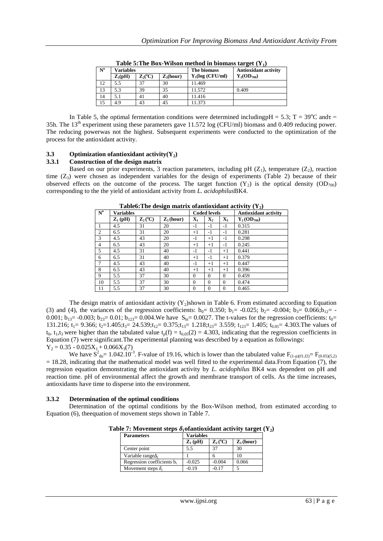|                           | THERE IS THE DUAL TENSOR INCLUDE IN DIVIDENS BULGUE (1) |                                    |             |                   |                             |  |  |  |  |
|---------------------------|---------------------------------------------------------|------------------------------------|-------------|-------------------|-----------------------------|--|--|--|--|
| $\mathbf{N}^{\mathbf{o}}$ | Variables                                               |                                    |             | The biomass       | <b>Antioxidant activity</b> |  |  |  |  |
|                           | $\mathbf{Z}_1(\mathbf{pH})$                             | $\mathbf{Z}_2(^{\circ}\mathbf{C})$ | $Z_3(hour)$ | $Y_1(log(CFU/ml)$ | $Y_2(OD_{700})$             |  |  |  |  |
| 12                        | 5.5                                                     | 37                                 | 30          | 11.469            |                             |  |  |  |  |
| 13                        | 5.3                                                     | 39                                 | 35          | 11.572            | 0.409                       |  |  |  |  |
| 14                        | 5.1                                                     | 41                                 | 40          | 11.416            |                             |  |  |  |  |
| 15                        | 4.9                                                     | 43                                 | 45          | 11.373            |                             |  |  |  |  |

**Table 5:The Box-Wilson method in biomass target (Y1)**

In Table 5, the optimal fermentation conditions were determined including  $H = 5.3$ ; T = 39<sup>o</sup>C and  $\tau$ 35h. The  $13<sup>th</sup>$  experiment using these parameters gave 11.572 log (CFU/ml) biomass and 0.409 reducing power. The reducing powerwas not the highest. Subsequent experiments were conducted to the optimization of the process for the antioxidant activity.

# **3.3 Optimization of antioxidant activity(** $Y_2$ **) 3.3.1** Construction of the design matrix

#### **3.3.1 Construction of the design matrix**

Based on our prior experiments, 3 reaction parameters, including pH  $(Z_1)$ , temperature  $(Z_2)$ , reaction time  $(Z_3)$  were chosen as independent variables for the design of experiments (Table 2) because of their observed effects on the outcome of the process. The target function  $(Y_2)$  is the optical density (OD<sub>700</sub>) corresponding to the the yield of antioxidant activity from *L. acidophilus*BK4.

| $N^{\rm o}$    | <b>Variables</b> |                                    |                       | <b>Coded levels</b> |                |                | <b>Antioxidant activity</b> |
|----------------|------------------|------------------------------------|-----------------------|---------------------|----------------|----------------|-----------------------------|
|                | $Z_1$ (pH)       | $\mathbf{Z}_2(^{\circ}\mathbf{C})$ | $\mathbf{Z}_3$ (hour) | $\mathbf{X}_1$      | $\mathbf{X}_2$ | $\mathbf{X}_3$ | $Y_2(OD_{700})$             |
|                | 4.5              | 31                                 | 20                    | $-1$                | $-1$           | $-1$           | 0.315                       |
| $\overline{2}$ | 6.5              | 31                                 | 20                    | $+1$                | $-1$           | $-1$           | 0.281                       |
| 3              | 4.5              | 43                                 | 20                    | $-1$                | $+1$           | $-1$           | 0.298                       |
| $\overline{4}$ | 6.5              | 43                                 | 20                    | $+1$                | $+1$           | $-1$           | 0.245                       |
| 5              | 4.5              | 31                                 | 40                    | $-1$                | $-1$           | $+1$           | 0.441                       |
| 6              | 6.5              | 31                                 | 40                    | $+1$                | $-1$           | $+1$           | 0.379                       |
|                | 4.5              | 43                                 | 40                    | $-1$                | $+1$           | $+1$           | 0.447                       |
| 8              | 6.5              | 43                                 | 40                    | $+1$                | $^{+1}$        | $+1$           | 0.396                       |
| 9              | 5.5              | 37                                 | 30                    | $\Omega$            | $\Omega$       | $\Omega$       | 0.459                       |
| 10             | 5.5              | 37                                 | 30                    | $\theta$            | $\theta$       | $\Omega$       | 0.474                       |
| 11             | 5.5              | 37                                 | 30                    | $\Omega$            | $\overline{0}$ | $\Omega$       | 0.465                       |

**Table6: The design matrix of antioxidant activity**  $(Y_2)$ 

The design matrix of antioxidant activity  $(Y_2)$ shown in Table 6. From estimated according to Equation (3) and (4), the variances of the regression coefficients:  $b_0 = 0.350$ ;  $b_1 = -0.025$ ;  $b_2 = -0.004$ ;  $b_3 = 0.066$ ;  $b_{12} = -0.025$ ; 0.001;  $b_{13}$  = -0.003;  $b_{23}$  = 0.01;  $b_{123}$  = 0.004. We have  $S_{bi}$  = 0.0027. The t-values for the regression coefficients:  $t_0$  = 131.216;  $t_1 = 9.366$ ;  $t_2 = 1.405$ ; $t_3 = 24.539$ ; $t_{12} = 0.375$ ; $t_{13} = 1.218$ ; $t_{23} = 3.559$ ;  $t_{123} = 1.405$ ;  $t_{0.05} = 4.303$ . The values of  $t_0$ ,  $t_1$ , $t_3$  were higher than the tabulated value  $t_p(f) = t_{0.05}(2) = 4.303$ , indicating that the regression coefficients in Equation (7) were significant.The experimental planning was described by a equation as followings:  $Y_2 = 0.35 - 0.025X_1 + 0.066X_3(7)$ 

We have  $S_{\text{du}}^2 = 1.042.10^{-3}$ . F-value of 19.16, which is lower than the tabulated value  $F_{(1-p)(f1,f2)} = F_{(0.05)(5,2)}$ = 18.28, indicating that the mathematical model was well fitted to the experimental data.From Equation (7), the regression equation demonstrating the antioxidant activity by *L. acidophilus* BK4 was dependent on pH and reaction time. pH of environmental affect the growth and membrane transport of cells. As the time increases, antioxidants have time to disperse into the environment.

#### **3.3.2 Determination of the optimal conditions**

Determination of the optimal conditions by the Box-Wilson method, from estimated according to Equation (6), theequation of movement steps shown in Table 7.

| <b>Parameters</b>                      | <b>Variables</b>    |                                    |                       |  |  |
|----------------------------------------|---------------------|------------------------------------|-----------------------|--|--|
|                                        | $\mathbf{Z}_1$ (pH) | $\mathbf{Z}_2(^{\circ}\mathbf{C})$ | $\mathbf{Z}_3$ (hour) |  |  |
| Center point                           | 5.5                 | 37                                 | 30                    |  |  |
| Variable range $\Delta_i$              |                     |                                    |                       |  |  |
| Regression coefficients b <sub>i</sub> | $-0.025$            | $-0.004$                           | 0.066                 |  |  |
| Movement steps $\delta_i$              | $-0.19$             | -0.17                              |                       |  |  |

**Table 7:** Movement steps  $\delta_i$  of antioxidant activity target  $(Y_2)$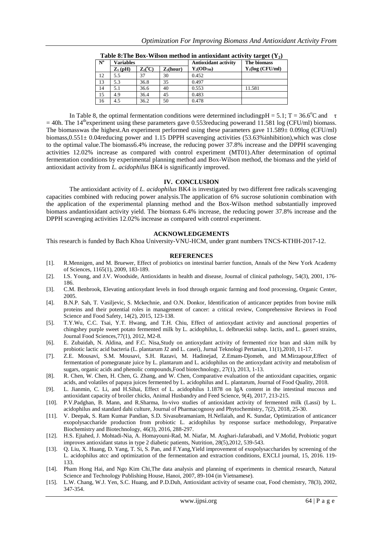| $N^{\rm o}$ | <b>Variables</b>    |                |             | <b>Antioxidant activity</b> | The biomass       |
|-------------|---------------------|----------------|-------------|-----------------------------|-------------------|
|             | $\mathbf{Z}_1$ (pH) | $\rm Z_2(^oC)$ | $Z_3(hour)$ | $Y_2(OD_{700})$             | $Y_1(log(CFU/ml)$ |
| 12          | 5.5                 | 37             | 30          | 0.452                       |                   |
| 13          | 5.3                 | 36.8           | 35          | 0.497                       |                   |
| 14          | 5.1                 | 36.6           | 40          | 0.553                       | 11.581            |
| 15          | 4.9                 | 36.4           | 45          | 0.483                       |                   |
| 16          | 4.5                 | 36.2           | 50          | 0.478                       |                   |

**Table 8: The Box-Wilson method in antioxidant activity target**  $(Y_2)$ 

In Table 8, the optimal fermentation conditions were determined including H = 5.1; T = 36.6<sup>o</sup>C and  $\tau$  $=$  40h. The 14<sup>th</sup>experiment using these parameters gave 0.553 reducing powerand 11.581 log (CFU/ml) biomass. The biomasswas the highest.An experiment performed using these parameters gave 11.589± 0.09log (CFU/ml) biomass,0.551± 0.04reducing power and 1.15 DPPH scavenging activities (53.63%inhibition),which was close to the optimal value.The biomass6.4% increase, the reducing power 37.8% increase and the DPPH scavenging activities 12.02% increase as compared with control experiment (MT01).After determination of optimal fermentation conditions by experimental planning method and Box-Wilson method, the biomass and the yield of antioxidant activity from *L. acidophilus* BK4 is significantly improved.

#### **IV. CONCLUSION**

The antioxidant activity of *L. acidophilus* BK4 is investigated by two different free radicals scavenging capacities combined with reducing power analysis.The application of 6% sucrose solutionin combination with the application of the experimental planning method and the Box-Wilson method substantially improved biomass andantioxidant activity yield. The biomass 6.4% increase, the reducing power 37.8% increase and the DPPH scavenging activities 12.02% increase as compared with control experiment.

#### **ACKNOWLEDGEMENTS**

This research is funded by Bach Khoa University-VNU-HCM, under grant numbers TNCS-KTHH-2017-12.

#### **REFERENCES**

- [1]. R.Mennigen, and M. Bruewer, Effect of probiotics on intestinal barrier function, Annals of the New York Academy of Sciences, 1165(1), 2009, 183-189.
- [2]. I.S. Young, and J.V. Woodside, Antioxidants in health and disease, Journal of clinical pathology, 54(3), 2001, 176- 186.
- [3]. C.M. Benbrook, Elevating antioxydant levels in food through organic farming and food processing, Organic Center, 2005.
- [4]. B.N.P. Sah, T. Vasiljevic, S. Mckechnie, and O.N. Donkor, Identification of anticancer peptides from bovine milk proteins and their potential roles in management of cancer: a critical review, Comprehensive Reviews in Food Science and Food Safety, 14(2), 2015, 123-138.
- [5]. T.Y.Wu, C.C. Tsai, Y.T. Hwang, and T.H. Chiu, Effect of antioxydant activity and aunctional properties of chingshey purple sweet potato fermented milk by L. acidophilus, L. delbrueckii subsp. lactis, and L. gasseri strains, [Journal Food Sciences,7](https://www.ncbi.nlm.nih.gov/pubmed/22182227)7(1), 2012, M2-8.
- [6]. E. Zubaidah, N. Aldina, and F.C. Nisa,Study on antioxydant activity of fermented rice bran and skim milk by probiotic lactic acid bacteria (L. plantarum J2 and L. casei), Jurnal Teknologi Pertanian, 11(1),2010, 11-17.
- [7]. Z.E. Mousavi, S.M. Mousavi, S.H. Razavi, M. Hadinejad, Z.Emam-Djomeh, and M.Mirzapour,Effect of fermentation of pomegranate juice by L. plantarum and L. acidophilus on the antioxydant activity and metabolism of sugars, organic acids and phenolic compounds,Food biotechnology, 27(1), 2013, 1-13.
- [8]. R. Chen, W. Chen, H. Chen, G. Zhang, and W. Chen, Comparative evaluation of the antioxidant capacities, organic acids, and volatiles of papaya juices fermented by L. acidophilus and L. plantarum, Journal of Food Quality, 2018.
- [9]. L. Jianmin, C. Li, and H.Sihai, Effect of L. acidophilus 1.1878 on IgA content in the intestinal mucous and antioxidant capacity of broiler chicks[, Animal Husbandry and Feed Science, 9\(4\), 2017,](http://www.cnki.com.cn/Journal/D-D5-AHFS-2017-04.htm) 213-215.
- [10]. P.V.Padghan, B. Mann, and R.Sharma, In-vivo studies of antioxidant activity of fermented milk (Lassi) by L. acidophilus and standard dahi culture, Journal of Pharmacognosy and Phytochemistry, 7(2), 2018, 25-30.
- [11]. V. Deepak, S. Ram Kumar Pandian, S.D. Sivasubramaniam, H.Nellaiah, and K. Sundar, Optimization of anticancer exopolysaccharide production from probiotic L. acidophilus by response surface methodology, Preparative Biochemistry and Biotechnology, 46(3), 2016, 288-297.
- [12]. H.S. Ejtahed, J. Mohtadi-Nia, A. Homayouni-Rad, M. Niafar, M. Asghari-Jafarabadi, and V.Mofid, Probiotic yogurt improves antioxidant status in type 2 diabetic patients, Nutrition, 28(5),2012, 539-543.
- [13]. Q. Liu, X. Huang, D. Yang, T. Si, S. Pan, and F.Yang,Yield improvement of exopolysaccharides by screening of the L. acidophilus atcc and optimization of the fermentation and extraction conditions, EXCLI journal, 15, 2016. 119- 133.
- [14]. Pham Hong Hai, and Ngo Kim Chi,The data analysis and planning of experiments in chemical research, Natural Science and Technology Publishing House, Hanoi, 2007, 89-104 (in Vietnamese).
- [15]. L.W. Chang, W.J. Yen, S.C. Huang, and P.D.Duh, Antioxidant activity of sesame coat, Food chemistry, 78(3), 2002, 347-354.